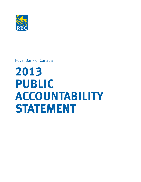

Royal Bank of Canada

# **2013 PUBLIC ACCOUNTABILITY STATEMENT**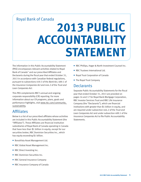# Royal Bank of Canada

# **2013 PUBLIC ACCOUNTABILITY STATEMENT**

The information in this Public Accountability Statement (PAS) encompasses relevant activities related to Royal Bank of Canada™ and our prescribed Affiliates and Declarants during the fiscal year that ended October 31, 2013 in accordance with Canadian federal regulations, pursuant to subsections 459.3 of the *Bank Act*, 489.1 of the *Insurance Companies Act* and 444.2 of the *Trust and Loan Companies Act*.

This PAS complements RBC's annual and ongoing corporate responsibility (CR) reporting. For more information about our CR programs, plans, goals and performance highlights, visit [www.rbc.com/community\\_](http://www.rbc.com/community-sustainability/index.html) [sustainability.](http://www.rbc.com/community-sustainability/index.html)

# Affiliates

Below is a list of our prescribed affiliates whose activities are included in this Public Accountability Statement (the "Affiliates"). These Affiliates are financial institution subsidiaries of Royal Bank of Canada operating in Canada that have less than \$1 billion in equity, except for our securities broker, RBC Dominion Securities Inc., which has equity exceeding \$1 billion.

- BonaVista Asset Management Ltd.
- RBC Global Asset Management Inc.
- RBC Direct Investing Inc.
- **RBC Dominion Securities Inc.**
- RBC General Insurance Company
- RBC Insurance Company of Canada
- RBC Phillips, Hager & North Investment Counsel Inc.
- RBC Trustees International Ltd.
- Royal Trust Corporation of Canada
- The Royal Trust Company

# **Declarants**

Separate Public Accountability Statements for the fiscal year that ended October 31, 2013 are provided on pages 16 and 17 for Royal Bank Mortgage Corporation, RBC Investor Services Trust and RBC Life Insurance Company (the "Declarants"), which are financial institutions with greater than \$1 billion in equity, and are required under subsection 444.2 of the *Trust and Loan Companies Act* and under subsection 489.1 of the *Insurance Companies Act* to file Public Accountability Statements.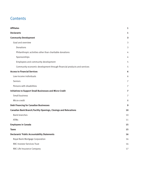# **Contents**

| <b>Declarants</b><br><b>Community Development</b>                       | 1<br>$\overline{\mathbf{3}}$<br>3 |
|-------------------------------------------------------------------------|-----------------------------------|
|                                                                         |                                   |
|                                                                         |                                   |
| Goal and overview                                                       |                                   |
| Donations                                                               | 3                                 |
| Philanthropic activities other than charitable donations                | 4                                 |
| Sponsorships                                                            | 4                                 |
| Employees and community development                                     | 5                                 |
| Community economic development through financial products and services  | 5                                 |
| <b>Access to Financial Services</b>                                     | 6                                 |
| Low-income individuals                                                  | 6                                 |
| Seniors                                                                 | $\overline{7}$                    |
| Persons with disabilities                                               | $\overline{7}$                    |
| <b>Initiatives to Support Small Businesses and Micro-Credit</b>         | $\overline{7}$                    |
| Small business                                                          | 7                                 |
| Micro-credit                                                            | 8                                 |
| <b>Debt Financing for Canadian Businesses</b>                           | 9                                 |
| <b>Canadian Bank Branch/Facility Openings, Closings and Relocations</b> | 10                                |
| <b>Bank branches</b>                                                    | 10                                |
| <b>ATMs</b>                                                             | 11                                |
| <b>Employees in Canada</b>                                              | 15                                |
| <b>Taxes</b>                                                            | 15                                |
| <b>Declarants' Public Accountability Statements</b>                     | 16                                |
| Royal Bank Mortgage Corporation                                         | 16                                |
| <b>RBC Investor Services Trust</b>                                      | 16                                |
| RBC Life Insurance Company                                              | 17                                |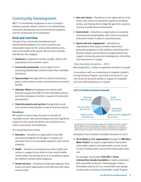# Community Development

RBC™ is consistently recognized as one of Canada's leading corporate citizens, thanks to our philanthropy, community development and environmental programs, and the involvement of our employees.

# **Goal and overview**

The goal of our community development and environmental programs is to have a positive and measurable impact on the communities where we live, and on the health of the planet. We have five activities that fall into this category:

- **Donations** to registered charities as gifts, without the expectation of an economic return.
- **Community investments**, such as gifts in-kind (including philanthropic activities other than charitable donations).
- **Sponsorships** that align with our brand and business goals, and/or deliver social, environmental or economic benefit.
- **Volunteer efforts** of employees and retirees with financial support from RBC for their charitable partners and other employee activities in support of community development.
- **Financial products and services** that generate social and environmental benefits as well as financial returns.

#### **Donations**

We support a broad range of causes in virtually all charitable sectors. We provide deeper and more significant support for key causes we believe are important to our clients, businesses and employees.

Our key giving areas include:

- **Education** Donations to organizations that offer educational programs for all ages. In Canada, our education focus is on providing support for after school programs.
- Health Donations to hospitals and other health care centres in support of our vision to help create healthy communities. Our primary focus is on providing support for children's mental health programs.
- **Human services** Donations to federated appeals, food banks and other organizations that help look after basic human needs.
- **Arts and culture** Donations to arts organizations of all kinds, with a focus on providing support to emerging artists, and helping them bridge the gap from academic success to professional achievement.
- **Environment** Donations to organizations to promote environmental sustainability, with a focus on projects that protect water in urban or urbanized areas.
- **Sports and civic engagement** Donations to organizations that support amateur sports from grassroots programs to elite athletes competing at the Olympic Games; and donations to organizations that support community economic development, citizenship and newcomers to Canada.

#### Total charitable donations – 2013

We donated \$55.7 million to registered charities in Canada.

In accordance with our commitment to Imagine Canada's Caring Company Program, we invest a minimum of 1 per cent of pre-tax domestic profits in support of charitable and non-profit endeavours in Canada.<sup>1</sup>



<sup>1</sup> As measured on a five-year rolling average. The calculation includes charitable gifts as defined by the Canada Revenue Agency, contributions to non-profit organizations, community benefit sponsorships, employee hours volunteered during working hours, gifts in-kind and community investment management.

Examples of our Canadian charitable donations in 2013:

 **\$5.8 million to 141 organizations** through the **RBC Blue Water Project**™ to support organizations that protect urban water systems and watersheds, ensure access to clean drinking water and promote responsible water use.

 For example, we provided **\$50,000** to **Green Communities Canada Foundation** to replace pavement with permeable surfaces in Peterborough, Ontario. Permeable surfaces act as a natural filter and sponge to slow down and reduce stormwater runoff. Program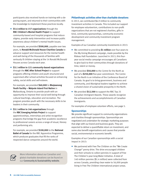participants also received hands-on training with a depaving expert, and returned to their communities with the knowledge to implement these practices locally.

**55.6 million to 157 organizations** through the **RBC Children's Mental Health Project** to support community-based and hospital programs that reduce stigma, provide early intervention and increase public awareness about children's mental health issues.

 For example, we provided **\$500,000**, payable over two years, to **Ronald McDonald House Charities Canada** to advance support and resources for the mental health and well-being of the thousands of families with seriously ill children staying at the 14 Ronald McDonald Houses across Canada each year.

**53.1 million to 121 community-based organizations** through the **RBC After School Project** to support programs offering children and youth structured and supervised after school activities focused on enhancing safety, social skills and self-esteem.

 For example, we provided **\$40,000** to **Bkejwanong Youth Facility – Walpole Island First Nation** in Wallaceburg, Ontario to provide youth with an opportunity to improve their social well-being through cultural teachings, education and recreation. The program provides youth with the necessary skills to be leaders in their community.

**53.1 million to 146 organizations** through the **RBC Emerging Artists Project** to support apprenticeships, internships and artist recognition programs that bridge the gap from academic excellence to professional careers across a range of visual, literary and performing arts.

 For example, we provided **\$100,000** to the **National Ballet of Canada** for the RBC Apprentice Programme, which produces graduates that fill the ranks of respected dance companies around the world.



More information about our Canadian and global charitable donations can be found on our **[Community & Sustainability website](http://www.rbc.com/community-sustainability/index.html)**.

## **Philanthropic activities other than charitable donations**

In 2013, we contributed \$6.9 million to community investment activities in Canada. This included our support for employee volunteerism, contributions to non-profit organizations that are not registered charities, gifts inkind, community sponsorships, community economic development and community investment program management.

Examples of our Canadian community investments in 2013:

- We committed to providing **\$1 million** over four years to the My Giving Moment campaign, made possible by the Rideau Hall Foundation. Launched in 2013, this fouryear social media campaign encourages all Canadians to give back to their communities through donations of time, talent or money.
- We provided **\$50,000** to the Centre for the North as part of a **\$250,000** five-year commitment. The Centre for the North is an initiative of the Conference Board of Canada. Its goal is to bring government, business and community, and Aboriginal leaders together to achieve a shared vision of sustainable prosperity in the North.
- We provided **\$12,500** to support the RBC Top 25 Canadian Immigrant Awards. These awards recognize the achievements and accomplishments of Canadian immigrants.

For examples of employee volunteer efforts, see page 5.

#### **Sponsorships**

We provide significant support to community organizations and charities through sponsorships. Sponsorships are negotiated and undertaken for strategic marketing purposes that align with our brand and business goals. They are expected to deliver a quantifiable return on investment, and some also benefit organizations and causes that provide social, environmental or economic benefit.

Examples of our Canadian sponsorships with a social impact in 2013:

■ We partnered with Free The Children on the "We Create Change" penny drive. The drive encouraged children and their schools to collect pennies in support of Free The Children's year-long Water Initiative. A total of 140 million pennies (\$1.4 million) were collected from across Canada, providing clean water to 56,000 people living in Free The Children international project areas.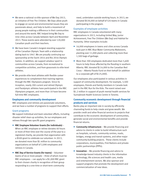- We were a national co-title sponsor of We Day 2013, an initiative of Free The Children. We Days allow youth to engage on social and environmental issues they are passionate about, and help to build a movement of young people making a difference in their communities and around the world. RBC helped bring We Day to nine cities across Canada between April and November 2013. These events were attended by over 120,000 Canadian youth and their teachers.
- We have been Canada's longest-standing supporter of the Canadian Olympic Team with a relationship dating back to 1947. We are proudly continuing our sponsorship at the Sochi 2014 and Rio 2016 Olympic Games. In addition, we support amateur sport in communities across Canada, from recreational to competitive activities, and from grassroots to elite-level athletes.
- We provide elite-level athletes with flexible career experiences to complement their training regimes through the RBC Olympians program. Since its inception, nearly 200 current and retired Olympic and Paralympic athletes have participated in the RBC Olympians program, and more than 10 have become full-time RBC employees.

#### **Employees and community development**

RBC employees and retirees are passionate volunteers, and we have a number of programs to support their efforts.

#### Grant programs

We support individual and team volunteer efforts, including disaster relief clean-up activities, for our employees and retirees through two specific grant programs:

- **RBC Employee Volunteer Grants (for individuals)** When an RBC employee or retiree donates 40 hours or more of their time over the course of the year to a registered charity, we provide that organization with a \$500 grant to celebrate our volunteer. In 2013, we donated more than \$1 million to community organizations on behalf of 2,090 employees and retirees in Canada.
- **RBC Day of Service Grants (for teams)** Volunteer teams of six or more people – three of whom must be RBC employees – can apply for a \$1,000 RBC grant to their chosen charity in recognition of their group responding to a one-time or short-term community

need, undertaken outside working hours. In 2013, we donated \$530,000 on behalf of 524 teams in Canada participating in the program.

#### Examples of employee activities

RBC employees in Canada volunteered with many organizations in 2013, including United Way, Junior Achievement, Free The Children (We Day) and Habitat for Humanity. Other examples include:

- 16,000 employees in towns and cities across Canada took part in RBC Blue Water Community Makeovers, planting over 11,000 plants and collecting more than 1,500 bags of garbage.
- More than 300 employees dedicated more than 5,600 hours to help those affected by the flooding in southern Alberta. RBC donated \$114,000 to the Canadian Red Cross – Alberta Floods Fund on their behalf (in addition to a corporate gift of \$125,000).

Our employees also participated in various activities in support of community development. For example, 3,500 employees, friends and family members in Canada took part in the RBC Run for the Kids. The event raised over \$1.2 million in support of youth mental health services for Sunnybrook Health Sciences Centre in Toronto.

## **Community economic development through financial products and services**

Banks play an important role in society by efficiently channeling funds to help create and grow wealth. We provide credit and other financial services to projects that contribute to the economic development of communities, generate social and environmental benefits and provide financial returns.

- **Community infrastructure** We provide financing and advice to clients in order to build infrastructure such as hospitals, schools, community centres, roads, bridges, energy and transit systems, and other major community-building projects. These clients include corporations, municipalities, First Nations and privatepublic partnerships (PPPs).
- **Innovation** We provide financing and advice to knowledge-based industry clients in the information technology, life sciences and health care, media and entertainment sectors. We also sponsor and support programs that promote the development and commercialization of new ideas.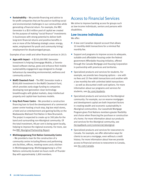**Sustainability** – We provide financing and advice to for-profit companies that are focused on tackling social and environmental challenges in our communities while generating a financial return. For example, the RBC Generator is a \$10 million pool of capital we created for the purpose of making "social finance" investments in businesses with strong potential to deliver both long-term financial returns and positive benefits in one or more of the following strategic areas: energy, water, employment for youth and community hiring/ employment for disadvantaged groups.

Examples of our credit and other financial services in 2013:

- **Apps with Impact** A \$250,000 RBC Generator investment is helping Greengage Mobile, a Torontobased software startup, grow and enhance their mobile sustainability engagement app designed to change behaviours by rewarding environmental, wellness and community actions.
- **MaRS Cleantech Fund** The RBC Generator made a \$500,000 investment in the MaRS Cleantech Fund, which provides early-stage funding to companies developing next-generation clean technology breakthroughs with global markets, deep intellectual property and capital-lean business models.
- **Grey Rock Power Centre** We provided a construction financing loan to fund the development of a commercial power centre hosting a truck stop, big box retail stores, a hotel and an entertainment and gaming facility on the Madawaska Maliseet First Nation in New Brunswick. The project is expected to create up to 300 jobs for the band and surrounding non-Aboriginal community. Of the total investment, 98 per cent is being spent locally, helping to improve the regional economy. For more, see the [RBC Aboriginal Partnership Report.](http://www.rbcroyalbank.com/commercial/aboriginal/pdf/57482%20Aboriginal%20Report_E.pdf)
- **Mishkeegogamang First Nation Community Centre** – We provided a loan for the construction of a community centre including fitness and performing arts facilities, offices, meeting rooms and a kitchen in Mishkeegogamang. Mishkeegogamang is a First Nations community located six hours north of Thunder Bay with approximately 1,800 members.

# Access to Financial Services

We strive to improve banking access for groups such as low-income individuals, seniors and persons with disabilities.

## **Low-income individuals**

We offer:

- A low-cost Canadian deposit account that allows 10 monthly debit transactions for a minimal flat monthly fee.
- Support and programs to improve access to adequate, suitable and affordable housing under the federal government Affordable Housing Initiative, offered through the Canada Mortgage and Housing Corporation in partnership with provinces and territories.
- Specialized products and services for students. For example, we provide two chequing options – one with no fees and 25 free debit transactions and another with a low monthly fee with unlimited debit transactions – as well as discounted credit card options. For more information about our programs and services for students, see [rbc.com/students](http://www.rbc.com/students).
- Specialized products and services for the Aboriginal community. For example, our on-reserve mortgages and development capital are both important factors in creating wealth and economic sustainability in Aboriginal communities. Our Leasehold Mortgage Program gives First Nations members greater flexibility and choice when financing the purchase or construction of a home. For more information about our products and services for the Aboriginal community, see [rbcroyalbank.com/commercial/aboriginal.](http://www.rbcroyalbank.com/commercial/aboriginal)
- Specialized products and services for newcomers to Canada. For example, we offer alternative ways for clients to secure a mortgage, even without a credit history. For more information about how we provide access to financial services to newcomers to Canada, see [rbc.com/canada](http://www.rbc.com/canada).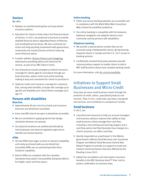# **Seniors**

We offer:

- Rebates on monthly banking fees and specialized insurance options.
- Education for clients to help reduce the financial abuse of seniors. In 2013, we produced a brochure to provide detailed financial advice regarding Powers of Attorney and avoiding financial abuse. We also continued our active and long-standing involvement with government, community and industry forums aimed at reducing senior financial abuse.
- A public website, [Seniors Finance and Caregiving,](https://www.rbcadvicecentre.com/key_life_moments/seniors_finance_and_caregiving) dedicated to providing advice and resources for seniors, as part of our RBC Advice Centre.
- Out-of-province/country emergency medical insurance coverage for clients aged 65 and above through our bank branches, advice centre and online banking, making it easy and convenient for clients to purchase it.
- Optional credit card insurance coverage for customers that, among other benefits, includes life coverage up to age 80 and disability and critical illness coverage up to age 70.

## **Persons with disabilities Branches**

- Approximately 90 per cent of our bank and insurance branches are wheelchair accessible.
- Every new RBC branch we open is wheelchair accessible.
- We are committed to applying barrier-free design standards wherever we operate.
- Our physical locations are audited periodically by internal groups and external regulatory agencies to identify and remove barriers.

## **ATMs**

- All new ATMs have larger screens to improve readability, and newly purchased walk-up and wheelchair accessible ATMs use our pioneering Audio Voice Guidance Capability.
- $\blacksquare$  Branch ATMs are compliant with the Canadian Standards Association's Accessibility Standards (B651) for height, reach and knee space.

## **Online banking**

- Public and secure banking websites are accessible and in compliance with the World Wide Web Consortium Web Content Accessibility Guidelines.
- $\blacksquare$  Our online banking is compatible with the browsers, keyboard navigation and adaptive devices most commonly used by persons with disabilities.

## **Telephone banking**

- We provide a special phone number that can be accessed using a teletypewriter device, giving hearingimpaired clients in Canada and the U.S. 24/7 access to banking services.
- Confidential, bonded third-party operators provide communications support to enable clients to talk to RBC staff by phone about more complex banking needs.

For more information, visit [rbc.com/accessibility.](http://www.rbc.com/accessibility)

# Initiatives to Support Small Businesses and Micro-Credit

Every day, we serve small business clients through the provision of credit, advice, specialized products and services. They, in turn, create jobs, pay taxes, buy goods and services, and contribute to a prosperous Canada.

## **Small business**

In 2013, we:

- Launched new resources to help our account managers and business advisors improve their ability to help small business clients manage their cash flow, including a new training and learning program and a cash flow advice tool that illustrates how changes to a client's business can affect cash flow.
- Quickly responded as a participant in the Alberta government's Alberta Flood Recovery Loan Guarantee Program and Alberta Flood Recovery Interest Rate Rebate Program to provide our support to small and medium-sized businesses that were affected by the flooding in June 2013.
- Added trip cancellation and interruption insurance benefits to the RBC Business Avion™ Visa<sup>‡</sup> card to protect cardholders on business trips.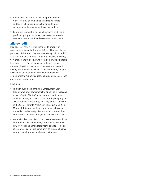- Added new content to our Greening Your Business [Advice Centre](http://www.rbcroyalbank.com/commercial/advice/greening-your-business/), an online hub with free resources and tools to help companies transition to more environmentally sustainable business models.
- Continued to invest in our small business credit card portfolio by improving processes so we can provide readier access to credit and faster service for clients.

## **Micro-credit**

RBC does not have a formal micro-credit product or program as it would typically be defined. However, for the purposes of this report, we are interpreting "micro-credit" as a variation on traditional credit that involves providing very small loans to people who would otherwise be unable to secure credit. These people might be unemployed or underemployed, lack collateral or an acceptable credit history. We provide small loans to entrepreneurs, support newcomers to Canada and work with underserved communities to support educational programs, create jobs and promote prosperity.

#### Examples:

- Through our Skilled Immigrant Employment Loan Program, we offer newcomers the opportunity to receive a loan of up to \$10,000 to put towards certification and/or licensing in Canada. In 2013, this pilot program was expanded to include 67 RBC Royal Bank™ branches in the Greater Toronto Area, 14 in Vancouver and 20 in Montreal. This program helps newcomers who work in the skilled trades, many of whom want to further their education to re-certify or upgrade their skills in Canada.
- We are involved in a pilot project in cooperation with the non-profit ACCESS Community Capital Fund, whereby RBC provides and administers micro-loans to residents of Toronto's Regent Park community so they can finance new and existing small businesses in the area.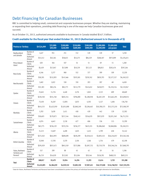# Debt Financing for Canadian Businesses

RBC is committed to helping small, commercial and corporate businesses prosper. Whether they are starting, maintaining or expanding their operations, providing debt financing is one of the ways we help Canadian businesses grow and succeed.

As at October 31, 2013, authorized amounts available to businesses in Canada totalled \$167.3 billion.

#### **Credit available for the fiscal year that ended October 31, 2013 (Authorized amount is in thousands of \$)**

| <b>Province or Territory</b>                                |                      | \$0-\$24,999 | \$25,000-<br>\$99,999 | \$100,000-<br>\$249,999 | \$250,000-<br>\$499,999 | \$500,000-<br>\$999,999 | \$1,000,000-<br>\$4,999,999 | \$5,000,000<br>and greater | <b>Total</b>  |
|-------------------------------------------------------------|----------------------|--------------|-----------------------|-------------------------|-------------------------|-------------------------|-----------------------------|----------------------------|---------------|
| Newfoundland<br>and Labrador                                | Number of<br>Clients | 1,627        | 951                   | 251                     | 152                     | 120                     | 120                         | 37                         | 3,258         |
|                                                             | Authorized<br>Amount | \$15,512     | \$43,361              | \$38,653                | \$53,273                | \$84,529                | \$268,187                   | \$973,099                  | \$1,476,615   |
| Prince Edward                                               | Number of<br>Clients | 620          | 364                   | 107                     | 54                      | 51                      | 49                          | 15                         | 1,260         |
| Island                                                      | Authorized<br>Amount | \$5,439      | \$17,047              | \$17,090                | \$19,239                | \$37,123                | \$98,853                    | \$202,474                  | \$397,264     |
| Nova Scotia                                                 | Number of<br>Clients | 6,546        | 3,277                 | 960                     | 552                     | 377                     | 399                         | 109                        | 12,220        |
|                                                             | Authorized<br>Amount | \$58,391     | \$152,993             | \$147,466               | \$193,581               | \$259,762               | \$859,793                   | \$2,577,537                | \$4,249,522   |
| New Brunswick                                               | Number of<br>Clients | 3,482        | 1,822                 | 558                     | 318                     | 203                     | 207                         | 68                         | 6,658         |
|                                                             | Authorized<br>Amount | \$31,383     | \$85,234              | \$85,773                | \$112,779               | \$143,652               | \$450,973                   | \$1,210,154                | \$2,119,947   |
| Quebec                                                      | Number of<br>Clients | 25,645       | 11,724                | 4,448                   | 2,276                   | 1,845                   | 2,122                       | 609                        | 48,669        |
|                                                             | Authorized<br>Amount | \$220,358    | \$551,748             | \$692,314               | \$796,000               | \$1,288,958             | \$4,487,239                 | \$15,662,295               | \$23,698,912  |
| Ontario                                                     | Number of<br>Clients | 73,430       | 34,287                | 12,005                  | 5,833                   | 4,592                   | 5,127                       | 1.484                      | 136,758       |
|                                                             | Authorized<br>Amount | \$614,333    | \$1,622,959           | \$1,851,008             | \$2,060,249             | \$3,206,463             | \$10,780,575                | \$53,373,210               | \$73,508,797  |
| Manitoba                                                    | Number of<br>Clients | 5,783        | 3,630                 | 1,411                   | 458                     | 439                     | 442                         | 139                        | 12,302        |
|                                                             | Authorized<br>Amount | \$50,693     | \$179,873             | \$217,144               | \$160,143               | \$316,070               | \$957,079                   | \$2,831,349                | \$4,712,351   |
| Saskatchewan                                                | Number of<br>Clients | 6,974        | 4.643                 | 2,158                   | 677                     | 606                     | 536                         | 115                        | 15,709        |
|                                                             | Authorized<br>Amount | \$63,775     | \$236,129             | \$333,334               | \$236,377               | \$425,555               | \$1,086,040                 | \$2,868,006                | \$5,249,215   |
| Alberta                                                     | Number of<br>Clients | 31,213       | 13,697                | 4,498                   | 1,825                   | 1,452                   | 1,799                       | 658                        | 55,142        |
|                                                             | Authorized<br>Amount | \$272,363    | \$642,993             | \$689,690               | \$630,299               | \$1,018,412             | \$3,892,532                 | \$26,216,057               | \$33,362,346  |
| British Columbia                                            | Number of<br>Clients | 32,940       | 17,785                | 5,570                   | 2,104                   | 1,566                   | 1,754                       | 479                        | 62,198        |
|                                                             | Authorized<br>Amount | \$295,929    | \$837,672             | \$843,559               | \$727,886               | \$1,097,752             | \$3,719,778                 | \$10,346,216               | \$17,868,793  |
| Yukon, Northwest<br>Territories and<br>Nunavut <sup>1</sup> | Number of<br>Clients | 557          | 299                   | 88                      | 45                      | 42                      | 59                          | 16                         | 1,106         |
|                                                             | Authorized<br>Amount | \$4,719      | \$14,029              | \$13,502                | \$15,504                | \$29,146                | \$126,781                   | \$488,535                  | \$692,215     |
| <b>Total</b>                                                | Number of<br>Clients | 188,817      | 92,479                | 32,054                  | 14,294                  | 11,293                  | 12,614                      | 3,729                      | 355,280       |
|                                                             | Authorized<br>Amount | \$1,632,895  | \$4,384,039           | \$4,929,532             | \$5,005,330             | \$7,907,421             | \$26,727,828                | \$116,748,932              | \$167,335,976 |

<sup>1</sup> Data for Yukon, Northwest Territories and Nunavut have been consolidated to protect the privacy of individual borrowers who might otherwise be identifiable.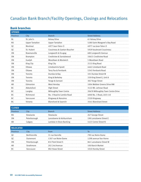# Canadian Bank Branch/Facility Openings, Closings and Relocations

# **Bank branches**

| <b>OPENED</b>  |                        |                                |                                    |
|----------------|------------------------|--------------------------------|------------------------------------|
| Province       | City                   | <b>Branch</b>                  | <b>Street Address</b>              |
| <b>NL</b>      | St. John's             | <b>Kelsey Drive</b>            | 61 Kelsey Drive                    |
| <b>NS</b>      | <b>Upper Tantallon</b> | <b>Upper Tantallon</b>         | 5280 Saint Margaret's Bay Road     |
| <b>OC</b>      | Montreal               | 4977 Jean-Talon O              | 4977 rue lean-Talon O              |
| QC             | St. Hubert             | Cousineau & Gaetan-Boucher     | 5929 boulevard Cousineau           |
| ON             | Bowmanville            | Longworth & Scugog             | 680 Longworth Avenue               |
| ON             | <b>Brampton</b>        | Creditview & Sandalwood        | 10615 Creditview Road              |
| 0 <sub>N</sub> | Guelph                 | Woodlawn & Woolwich            | 5 Woodlawn Road                    |
| <b>ON</b>      | King City              | King City                      | 2115 King Road                     |
| 0 <sub>N</sub> | Ottawa                 | Limebank & Spratt              | 4462 Limebank Road                 |
| ON             | Ottawa                 | Terry Fox & Fernbank           | 5345 Fernbank Road                 |
| ON             | Toronto                | Dundas & Bay                   | 101 Dundas Street W                |
| ON             | Toronto                | King & Berkeley                | 339 King Street E, Unit 8          |
| ON             | Toronto                | Yonge & Gerrard                | 382 Yonge Street                   |
| AB             | <b>Fdmonton</b>        | West Henday                    | 1004 Webber Greens Drive NW        |
| <b>BC</b>      | Abbotsford             | <b>High Street</b>             | 3122 Mt. Lehman Road               |
| BC.            | Langley                | Willoughby Town Centre         | 20678 Willoughby Town Centre Drive |
| ВC             | Richmond               | No. 3 Road & Cambie Road       | 4000 No. 3 Road, Unit 110          |
| BC.            | Vancouver              | Kingsway & Nanaimo             | 2320 Kingsway                      |
| BC.            | Victoria               | <b>Blanshard &amp; Saanich</b> | 3541 Blanshard Street              |
|                |                        |                                |                                    |
| <b>CLOSED</b>  |                        |                                |                                    |
| Province       | City                   | <b>Branch</b>                  | <b>Street Address</b>              |
| NS.            | Stewiacke              | Stewiacke                      | 267 George Street                  |
| <b>ON</b>      | Peterborough           | Lansdowne & Ashburnham         | 198 Lansdowne Street E             |
| AB             | Calgary                | Lambda In-Store Banking        | 1423 Centre Street N               |

| <b>RELOCATED</b> |                      |                     |                        |
|------------------|----------------------|---------------------|------------------------|
| <b>Province</b>  |                      | From                |                        |
| OC               | <b>Berthierville</b> | 31 rue Iberville    | 790 rue Notre-Dame     |
| O(               | .)utremont           | 1307 rue Notre-Dame | 1298 avenue Van Horne  |
| ΩN               | Peterborough         | 832 Park Street S   | 861 Lansdowne Street W |
| ΑB               | Strathmore           | 202 2nd Avenue      | 100 Ranch Market       |
|                  |                      | 982 Howe Street     | 1010 Hornby Street     |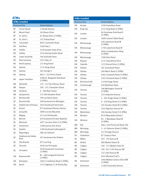# **ATMs**

| <b>ATMs installed</b> |                               |                                         |  |  |
|-----------------------|-------------------------------|-----------------------------------------|--|--|
|                       | Province/City                 | <b>Street Address</b>                   |  |  |
| ΝF                    | Corner Brook                  | 2 Herald Avenue                         |  |  |
| ΝF                    | Mount Pearl                   | 18 Gibson Drive                         |  |  |
| ΝF                    | St. John's                    | 61 Kelsey Drive (3 ATMs)                |  |  |
| ΝF                    | St. John's                    | 155 Torbay Road                         |  |  |
| PEI                   | Cavendish                     | 8934 Cavendish Road                     |  |  |
| ΝS                    | <b>Fall River</b>             | 3260 Hwy 2                              |  |  |
| ΝS                    | Halifax                       | 3430 Joseph Howe Drive                  |  |  |
| ΝS                    | Halifax                       | 5524 Spring Garden Road                 |  |  |
| <b>NS</b>             | Lower Sackville               | 766 Sackville Drive                     |  |  |
| ΝS                    | New Germany                   | 5253 Hwy 10                             |  |  |
| ΝS                    | North Sydney                  | 131 King Street                         |  |  |
| ΝS                    | Sydney                        | 1174 Kings Road                         |  |  |
| ΝS                    | Sydney                        | 565 George S                            |  |  |
| ΝS                    | Sydney                        | A015 - 254 Prince Street                |  |  |
| ΝS                    | <b>Upper Tantallon</b>        | 5280 St. Margarets Bay Road<br>(2 ATMs) |  |  |
| NΒ                    | Atholville                    | 155 - 312 Val d'Amour Road              |  |  |
| NΒ                    | Dieppe                        | 100 - 231 Champlain Street              |  |  |
| NΒ                    | Hartland                      | 6 - 380 Main Street                     |  |  |
| ΝB                    | Quispamsis                    | 175 Old Hampton Road                    |  |  |
| QC                    | Berthierville                 | 790 rue Notre-Dame                      |  |  |
| QC                    | Boucherville                  | 500 boulevard de Mortagne               |  |  |
| QC                    | Dollard-des-Ormeaux           | 3610 boulevard Saint-Jean               |  |  |
| QC                    | Dorval                        | 975 boulevard Romeo Vachon              |  |  |
| QC                    | Jonquière                     | 3899 rue des Mouettes                   |  |  |
| QC                    | Magog                         | 415 rue Sherbrooke                      |  |  |
| QC                    | Mercier                       | 676 boulevard St-Jean Baptiste          |  |  |
| QC                    | Montreal                      | 4977 rue Jean-Talon O (2 ATMs)          |  |  |
| QC                    | Outremont                     | 1298 avenue Van Horne                   |  |  |
| QC                    | Quebec                        | 1260 boulevard Lebourgneuf              |  |  |
| QC                    | Repentigny                    | 288 rue Valmont                         |  |  |
| QC                    | Salaberry-de-Valley-<br>field | 301 boulevard des Érables               |  |  |
| QC                    | Sherbrooke                    | 875 rue King                            |  |  |
| QC                    | Ste-Julie                     | 2630 rue Principale                     |  |  |
| QC                    | St-Hubert                     | 5929 boulevard Cousineau<br>(2 ATMs)    |  |  |
| ON                    | Bowmanville                   | B1 - 680 Longworth Avenue<br>(2 ATMs)   |  |  |
| ON                    | Brampton                      | 10615 Creditview Road (3 ATMs)          |  |  |
| ΟN                    | Barrie                        | 1371 Highway 11 N Shanty Bay            |  |  |

| Province/City<br><b>Street Address</b><br>ΟN<br>Kanata<br>5709 Hazeldean Road<br>King City<br>2115 King Road (2 ATMs)<br>ΟN<br>96 Fanshawe Park Road E<br>ΟN<br>London<br>(2 ATMs)<br>3090 Colonel Talbot Road<br>ΟN<br>London<br>220 Lakeshore Road W<br>ΟN<br>Mississauga<br>(2 ATMs)<br>1730 Lakeshore Road W<br>ΟN<br>Mississauga<br>4056 Confederation Pkwy<br>ΟN<br>Mississauga<br>(2 ATMs)<br>ΟN<br>Mississauga<br>7280 Dixie Road<br>3131 Strandherd Drive<br>ΟN<br>Nepean<br>Oakville<br>1333 Dorval Drive (3 ATMs)<br>ΟN<br>181 Greenbank Road<br>ΟN<br>Ottawa<br>360 March Road (2 ATMs)<br>ΟN<br>Ottawa<br>4462 Limebank Road (3 ATMs)<br>ΟN<br>Ottawa<br>5345 Fernbank Road (3 ATMs)<br>ΟN<br>Ottawa<br>Richmond Hill<br>12338 Yonge Street<br>ΟN<br>629 Markham Road<br>ΟN<br>Scarborough<br>180 Wellington Street W<br>Toronto<br>ΟN<br>(2 ATMs)<br>ΟN<br>Toronto<br>2275 Bayview Avenue<br>5 - 382 Yonge Street (2 ATMs)<br>Toronto<br>ΟN<br>8 - 339 King Street E (2 ATMs)<br>ΟN<br>Toronto<br>101 Dundas Street W (2 ATMs)<br>Toronto<br>ΟN<br>ΟN<br>Toronto<br>2343 Eglinton Avenue W<br>Waterdown<br>304 Dundas Street E (2 ATMs)<br>ΟN |
|-------------------------------------------------------------------------------------------------------------------------------------------------------------------------------------------------------------------------------------------------------------------------------------------------------------------------------------------------------------------------------------------------------------------------------------------------------------------------------------------------------------------------------------------------------------------------------------------------------------------------------------------------------------------------------------------------------------------------------------------------------------------------------------------------------------------------------------------------------------------------------------------------------------------------------------------------------------------------------------------------------------------------------------------------------------------------------------------------------------------------------------------------------------|
|                                                                                                                                                                                                                                                                                                                                                                                                                                                                                                                                                                                                                                                                                                                                                                                                                                                                                                                                                                                                                                                                                                                                                             |
|                                                                                                                                                                                                                                                                                                                                                                                                                                                                                                                                                                                                                                                                                                                                                                                                                                                                                                                                                                                                                                                                                                                                                             |
|                                                                                                                                                                                                                                                                                                                                                                                                                                                                                                                                                                                                                                                                                                                                                                                                                                                                                                                                                                                                                                                                                                                                                             |
|                                                                                                                                                                                                                                                                                                                                                                                                                                                                                                                                                                                                                                                                                                                                                                                                                                                                                                                                                                                                                                                                                                                                                             |
|                                                                                                                                                                                                                                                                                                                                                                                                                                                                                                                                                                                                                                                                                                                                                                                                                                                                                                                                                                                                                                                                                                                                                             |
|                                                                                                                                                                                                                                                                                                                                                                                                                                                                                                                                                                                                                                                                                                                                                                                                                                                                                                                                                                                                                                                                                                                                                             |
|                                                                                                                                                                                                                                                                                                                                                                                                                                                                                                                                                                                                                                                                                                                                                                                                                                                                                                                                                                                                                                                                                                                                                             |
|                                                                                                                                                                                                                                                                                                                                                                                                                                                                                                                                                                                                                                                                                                                                                                                                                                                                                                                                                                                                                                                                                                                                                             |
|                                                                                                                                                                                                                                                                                                                                                                                                                                                                                                                                                                                                                                                                                                                                                                                                                                                                                                                                                                                                                                                                                                                                                             |
|                                                                                                                                                                                                                                                                                                                                                                                                                                                                                                                                                                                                                                                                                                                                                                                                                                                                                                                                                                                                                                                                                                                                                             |
|                                                                                                                                                                                                                                                                                                                                                                                                                                                                                                                                                                                                                                                                                                                                                                                                                                                                                                                                                                                                                                                                                                                                                             |
|                                                                                                                                                                                                                                                                                                                                                                                                                                                                                                                                                                                                                                                                                                                                                                                                                                                                                                                                                                                                                                                                                                                                                             |
|                                                                                                                                                                                                                                                                                                                                                                                                                                                                                                                                                                                                                                                                                                                                                                                                                                                                                                                                                                                                                                                                                                                                                             |
|                                                                                                                                                                                                                                                                                                                                                                                                                                                                                                                                                                                                                                                                                                                                                                                                                                                                                                                                                                                                                                                                                                                                                             |
|                                                                                                                                                                                                                                                                                                                                                                                                                                                                                                                                                                                                                                                                                                                                                                                                                                                                                                                                                                                                                                                                                                                                                             |
|                                                                                                                                                                                                                                                                                                                                                                                                                                                                                                                                                                                                                                                                                                                                                                                                                                                                                                                                                                                                                                                                                                                                                             |
|                                                                                                                                                                                                                                                                                                                                                                                                                                                                                                                                                                                                                                                                                                                                                                                                                                                                                                                                                                                                                                                                                                                                                             |
|                                                                                                                                                                                                                                                                                                                                                                                                                                                                                                                                                                                                                                                                                                                                                                                                                                                                                                                                                                                                                                                                                                                                                             |
|                                                                                                                                                                                                                                                                                                                                                                                                                                                                                                                                                                                                                                                                                                                                                                                                                                                                                                                                                                                                                                                                                                                                                             |
|                                                                                                                                                                                                                                                                                                                                                                                                                                                                                                                                                                                                                                                                                                                                                                                                                                                                                                                                                                                                                                                                                                                                                             |
|                                                                                                                                                                                                                                                                                                                                                                                                                                                                                                                                                                                                                                                                                                                                                                                                                                                                                                                                                                                                                                                                                                                                                             |
|                                                                                                                                                                                                                                                                                                                                                                                                                                                                                                                                                                                                                                                                                                                                                                                                                                                                                                                                                                                                                                                                                                                                                             |
|                                                                                                                                                                                                                                                                                                                                                                                                                                                                                                                                                                                                                                                                                                                                                                                                                                                                                                                                                                                                                                                                                                                                                             |
|                                                                                                                                                                                                                                                                                                                                                                                                                                                                                                                                                                                                                                                                                                                                                                                                                                                                                                                                                                                                                                                                                                                                                             |
| Windsor<br>ΟN<br>8135 Wyandotte Street E                                                                                                                                                                                                                                                                                                                                                                                                                                                                                                                                                                                                                                                                                                                                                                                                                                                                                                                                                                                                                                                                                                                    |
| D5 - 5 Woodlawn Road W<br>Windsor<br>ON<br>(2 ATMs)                                                                                                                                                                                                                                                                                                                                                                                                                                                                                                                                                                                                                                                                                                                                                                                                                                                                                                                                                                                                                                                                                                         |
| Elie<br>Hwy 1 and Provincial Road 248<br>MΒ                                                                                                                                                                                                                                                                                                                                                                                                                                                                                                                                                                                                                                                                                                                                                                                                                                                                                                                                                                                                                                                                                                                 |
| 2 - 43 Osborne Street (2 ATMs)<br>MΒ<br>Winnipeg                                                                                                                                                                                                                                                                                                                                                                                                                                                                                                                                                                                                                                                                                                                                                                                                                                                                                                                                                                                                                                                                                                            |
| ΜB<br>Winnipeg<br>515 Portage Avenue                                                                                                                                                                                                                                                                                                                                                                                                                                                                                                                                                                                                                                                                                                                                                                                                                                                                                                                                                                                                                                                                                                                        |
| SK<br>Saskatoon<br>87 Campus Drive                                                                                                                                                                                                                                                                                                                                                                                                                                                                                                                                                                                                                                                                                                                                                                                                                                                                                                                                                                                                                                                                                                                          |
| Wilkie<br>503 - 7th Avenue W<br>SK                                                                                                                                                                                                                                                                                                                                                                                                                                                                                                                                                                                                                                                                                                                                                                                                                                                                                                                                                                                                                                                                                                                          |
| 900 Market Street SE<br>Airdrie<br>AВ                                                                                                                                                                                                                                                                                                                                                                                                                                                                                                                                                                                                                                                                                                                                                                                                                                                                                                                                                                                                                                                                                                                       |
| 100 - 151 Walden Gate SE<br>AB<br>Calgary                                                                                                                                                                                                                                                                                                                                                                                                                                                                                                                                                                                                                                                                                                                                                                                                                                                                                                                                                                                                                                                                                                                   |
| AB<br>100 - 815 17th Avenue SW<br>Calgary                                                                                                                                                                                                                                                                                                                                                                                                                                                                                                                                                                                                                                                                                                                                                                                                                                                                                                                                                                                                                                                                                                                   |
| 722 16th Avenue NE<br>AB<br>Calgary                                                                                                                                                                                                                                                                                                                                                                                                                                                                                                                                                                                                                                                                                                                                                                                                                                                                                                                                                                                                                                                                                                                         |
| 6455 Macleod Trail S<br>AВ<br>Calgary                                                                                                                                                                                                                                                                                                                                                                                                                                                                                                                                                                                                                                                                                                                                                                                                                                                                                                                                                                                                                                                                                                                       |
| 1004 Webber Greens Drive NW<br>AB<br>Edmonton<br>(3 A T M s)                                                                                                                                                                                                                                                                                                                                                                                                                                                                                                                                                                                                                                                                                                                                                                                                                                                                                                                                                                                                                                                                                                |
| AB<br>11400 University Avenue<br>Edmonton                                                                                                                                                                                                                                                                                                                                                                                                                                                                                                                                                                                                                                                                                                                                                                                                                                                                                                                                                                                                                                                                                                                   |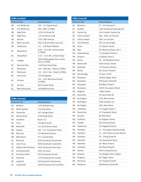|           | <b>ATMs installed</b> |                                                |
|-----------|-----------------------|------------------------------------------------|
|           | Province/City         | <b>Street Address</b>                          |
| AB        | Fort McMurray         | 190 - 121 Signal Road                          |
| AB        | Fort McMurray         | Site 1 RR1 (2 ATMs)                            |
| AB        | High River            | 1230 3rd Street SE                             |
| AB        | High River            | 139 5th Avenue SW                              |
| AB        | Nanton                | 2107 20th Avenue                               |
| AB        | Niton Junction        | Hwy 16 W and Niton Junction                    |
| AB        | Strathmore            | 121 - 100 Ranch Market                         |
| BC.       | Abbotsford            | 1100 - 3122 Mt. Lehman Road<br>(2 ATMs)        |
| ВC        | Abbotsford            | L110 - 3122 Mt. Lehman Road                    |
| <b>BC</b> | Langley               | 20678 Willoughby Town Centre<br>Drive (2 ATMs) |
| BC.       | Nanoose Bay           | 1160 East Island Hwy                           |
| <b>BC</b> | Richmond              | 100 - 4000 No. 3 Road (2 ATMs)                 |
| <b>BC</b> | Richmond              | 125 - 10111 No. 3 Road (2 ATMs)                |
| <b>BC</b> | Vancouver             | 2320 Kingsway                                  |
| BC.       | Victoria              | 101 - 3541 Blanshard Street<br>(2 ATMs)        |
| BC        | Victoria              | 6610 Sooke Road                                |
| <b>BC</b> | West Vancouver        | 1650 Marine Drive                              |

|                | <b>ATMs removed</b> |                             |
|----------------|---------------------|-----------------------------|
|                | Province/City       | <b>Street Address</b>       |
| <b>NS</b>      | <b>Bedford</b>      | 1595 Bedford Hwy            |
| NS.            | North Sydney        | 116 King Street             |
| NS.            | Stewiacke           | 267 George Street           |
| ΝS             | Sydney River        | 1290 Kings Road             |
| NS.            | Tantallon           | Route 333                   |
| NS.            | Truro               | 104 Main Street             |
| NΒ             | Atholville          | 312 Val d'Amour Road        |
| <b>NB</b>      | Dieppe              | 100 - 231 Champlain Street  |
| N <sub>B</sub> | Moncton             | 135 Macbeth Avenue          |
| NΒ             | Woodstock           | 371 Connell Road            |
| QC             | <b>Brossard</b>     | 9105 boulevard Taschereau   |
| QC             | Cote St-Luc         | 5800 boulevard Cavendish    |
| QC             | Dollard-des-Ormeaux | 3610 boulevard Saint-Jean   |
| QC             | Drummondville       | 1045 rue Hans               |
| QC             | Drummondville       | 2070 boulevard Lemire       |
| QC             | Gatineau            | 1130 boulevard St.-Joseph   |
| QC             | Laprairie           | 950 boulevard Taschereau    |
| QC             | Loretteville        | 10048 boulevard de Lormière |

|    | <b>ATMs removed</b> |                               |  |  |  |
|----|---------------------|-------------------------------|--|--|--|
|    | Province/City       | <b>Street Address</b>         |  |  |  |
| QC | Montreal            | 27 - 50 Cremazie O            |  |  |  |
| QC | Quebec              | 1260 boulevard Lebourgneuf    |  |  |  |
| QC | Sainte-Foy          | 2410 chemin Sainte-Foy        |  |  |  |
| QC | Saint-Lambert       | 108 - 2001 rue Victoria       |  |  |  |
| QC | Saint-Lambert       | 2001 rue Victoria             |  |  |  |
| QC | Trois-Rivières      | 295 rue des Forges            |  |  |  |
| ΟN | Acton               | 372 Queen Street              |  |  |  |
| ΟN | Ajax                | 955 Westney Road, Unit 7      |  |  |  |
| ΟN | Amherstburg         | 71 Sandwich Street S          |  |  |  |
| ΟN | Arnprior            | 22 Baskin Drive E             |  |  |  |
| ΟN | <b>Barrie</b>       | 29 - 320 Bayfield Street      |  |  |  |
| ΟN | Beamsville          | 4486 Ontario Street           |  |  |  |
| ON | Belleville          | 173 Dundas Street E           |  |  |  |
| ΟN | <b>Bolton</b>       | 405 Queen Street S            |  |  |  |
| ΟN | Bracebridge         | 55 Hwy 118 W                  |  |  |  |
| ΟN | <b>Brampton</b>     | 18 Kensington Road            |  |  |  |
| ΟN | <b>Brampton</b>     | 398 Queen Street W            |  |  |  |
| ΟN | <b>Brampton</b>     | 499 Main Street S             |  |  |  |
| ΟN | <b>Brampton</b>     | 10035 Hurontario Street       |  |  |  |
| ΟN | <b>Brighton</b>     | 1 Main Street                 |  |  |  |
| ΟN | <b>Brockville</b>   | 30 Pearl Street W             |  |  |  |
| ON | Burlington          | 2201 Brant Street             |  |  |  |
| ΟN | Burlington          | 2400 Guelph Line              |  |  |  |
| ΟN | Burlington          | 5061 New Street               |  |  |  |
| ΟN | Caledonia           | 351 Argyle Street S           |  |  |  |
| ON | Deep River          | 11 Champlain Street           |  |  |  |
| ON | Dundas              | 60 Hatt Street                |  |  |  |
| ON | Goderich            | 67 Kingston Street            |  |  |  |
| ON | Guelph              | 265 Eramosa Road              |  |  |  |
| ON | Haliburton          | 224 Highland Street           |  |  |  |
| ON | Hamilton            | 13 - 930 Upper Paradise Road  |  |  |  |
| ON | Hamilton            | 14 - 1070 Stone Church Road E |  |  |  |
| ΟN | Hamilton            | 18 - 2 King Street W          |  |  |  |
| ON | Hamilton            | 126 Queenston Road            |  |  |  |
| ΟN | Hamilton            | 447 Main Street E             |  |  |  |
| ON | Hamilton            | 505 Rymal Road E              |  |  |  |
| ΟN | Kanata              | 4048 Carling Avenue           |  |  |  |
| ΟN | Keswick             | 76 Arlington Drive, Bldg C    |  |  |  |
| ΟN | Kingston            | 817 Edgar Street              |  |  |  |
| ΟN | Kitchener           | 537 Frederick Street          |  |  |  |
| ON | Kitchener           | 696 Belmont Street W          |  |  |  |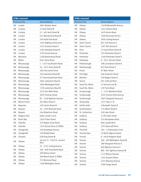| <b>ATMs removed</b> |                     |                                             |  |  |
|---------------------|---------------------|---------------------------------------------|--|--|
|                     | Province/City       | <b>Street Address</b>                       |  |  |
| ΟN                  | Lasalle             | 5881 Malden Road                            |  |  |
| ΟN                  | Lindsay             | 51 Kent Street W                            |  |  |
| ΟN                  | Lindsay             | 57 - 401 Kent Street W                      |  |  |
| ON                  | London              | 611 Wonderland Road N                       |  |  |
| ON                  | London              | 740 Hyde Park Road                          |  |  |
| ΟN                  | London              | 1505 Highbury Avenue N                      |  |  |
| ΟN                  | London              | 1551 Dundas Street E                        |  |  |
| ΟN                  | London              | 1593 Adelaide Street N                      |  |  |
| ΟN                  | London              | 1795 Ernest Avenue                          |  |  |
| ON                  | Manotick            | 1160 Beaverwood Road                        |  |  |
| ON                  | Milton              | 6541 Derry Road                             |  |  |
| ΟN                  | Mississauga         | 1 - 1375 Southdown Road                     |  |  |
| ΟN                  | Mississauga         | 16 - 3221 Derry Road W                      |  |  |
| ΟN                  | Mississauga         | 100 City Centre Drive                       |  |  |
| ΟN                  | Mississauga         | 220 Lakeshore Road W                        |  |  |
| ΟN                  | Mississauga         | 377 Burnhamthorpe Road                      |  |  |
| ΟN                  | Mississauga         | 1001 Lakeshore Road E                       |  |  |
| ON                  | Mississauga         | 1004 Middlegate Road                        |  |  |
| ΟN                  | Mississauga         | 1730 Lakeshore Road W                       |  |  |
| ΟN                  | Mississauga         | 2225 Erin Mills Pkwy                        |  |  |
| ΟN                  | Mississauga         | 3010 Thomas Street                          |  |  |
| ΟN                  | Mississauga         | B7 - 1240 Eglinton Avenue                   |  |  |
| ΟN                  | <b>Mount Forest</b> | 301 Main Street S                           |  |  |
| ΟN                  | Napanee             | 470 Centre Street N                         |  |  |
| ΟN                  | Nepean              | 1A - 1595 Merivale Road                     |  |  |
| ΟN                  | Nepean              | 144 Robertson Road                          |  |  |
| ΟN                  | Niagara Falls       | 6484 Lundy's Lane                           |  |  |
| ΟN                  | North Bay           | 1205 Fisher Street                          |  |  |
| ON                  | Oakville            | 523 Maple Grove Road                        |  |  |
| ΟN                  | Oakville            | 1333 Dorval Drive (3 ATMs)                  |  |  |
| ΟN                  | Orangeville         | 336 Broadway Avenue                         |  |  |
| ΟN                  | Orangeville         | 520 Riddell Road                            |  |  |
| ΟN                  | Oshawa              | 438 King Street W                           |  |  |
| ON                  | Ottawa              | 20 and 23 - 1910 St. Laurent<br><b>Blvd</b> |  |  |
| ΟN                  | Ottawa              | 35 - 2121 Carling Avenue                    |  |  |
| ΟN                  | Ottawa              | 106 - 900 Greenbank Road                    |  |  |
| ON                  | Ottawa              | 200 Rideau Street                           |  |  |
| ΟN                  | Ottawa              | 360 March Road (2 ATMs)                     |  |  |
| ΟN                  | Ottawa              | 753 Montreal Road                           |  |  |
| ΟN                  | Ottawa              | 1190 Wellington Street                      |  |  |

| Province/City<br><b>Street Address</b><br>1363B Woodroffe Avenue<br>ΟN<br>Ottawa<br>0 <sub>N</sub><br>1615 Orleans Blvd<br>Ottawa<br>ΟN<br>1670 Heron Road<br>Ottawa<br>ΟN<br>2269 Riverside Drive E<br>Ottawa |
|----------------------------------------------------------------------------------------------------------------------------------------------------------------------------------------------------------------|
|                                                                                                                                                                                                                |
|                                                                                                                                                                                                                |
|                                                                                                                                                                                                                |
|                                                                                                                                                                                                                |
|                                                                                                                                                                                                                |
| ΟN<br>2950 Carling Avenue<br>Ottawa                                                                                                                                                                            |
| 963 2nd Avenue E<br>0 <sub>N</sub><br>Owen Sound                                                                                                                                                               |
| ΟN<br>Owen Sound<br>1507 9th Avenue E                                                                                                                                                                          |
| 72 Grand River Street N<br>ΟN<br>Paris                                                                                                                                                                         |
| Pembroke<br>ΟN<br>215 Pembroke Street E                                                                                                                                                                        |
| Pembroke<br>1100 Pembroke Street E<br>ΟN                                                                                                                                                                       |
| A - 1011 Victoria Street<br>ΟN<br>Petawawa                                                                                                                                                                     |
| 198 Lansdowne Street E<br>ΟN<br>Peterborough                                                                                                                                                                   |
| Peterborough<br>823 Park Street S<br>ΟN                                                                                                                                                                        |
| 97 Main Street<br>ΟN<br>Picton                                                                                                                                                                                 |
| 466 Goderich Street<br>ΟN<br>Port Elgin                                                                                                                                                                        |
| Renfrew<br>339 Raglan Street S<br>ON                                                                                                                                                                           |
| 0 <sub>N</sub><br>Sarnia<br>697 Cathcart Blvd                                                                                                                                                                  |
| Sault Ste. Marie<br>13 Second Line W<br>0N                                                                                                                                                                     |
| Sault Ste. Marie<br>129 Trunk Road<br>ΟN                                                                                                                                                                       |
| 1 - 1127 Markham Road<br>ON<br>Scarborough                                                                                                                                                                     |
| 1925 Victoria Park Avenue<br>ΟN<br>Scarborough                                                                                                                                                                 |
| Scarborough<br>3607 Sheppard Avenue E<br>ON                                                                                                                                                                    |
| 1371 Hwy 11 N<br>ΟN<br><b>Shanty Bay</b>                                                                                                                                                                       |
| <b>Smiths Falls</b><br>2 Beckwith Street N<br>ΟN                                                                                                                                                               |
| 174 Albert Street S<br>ΟN<br>Southampton                                                                                                                                                                       |
| St. Catharines<br>258 Lake Street<br>ΟN                                                                                                                                                                        |
| 117B Cedar Street<br>ΟN<br>Sudbury                                                                                                                                                                             |
| 555 Barrydown Road<br>ΟN<br>Sudbury                                                                                                                                                                            |
| 848 Lasalle Blvd<br>ΟN<br>Sudbury                                                                                                                                                                              |
| Sudbury<br>1975 Bancroft Drive<br>ΟN                                                                                                                                                                           |
| Thornhill<br>183 - 1 Promenade Circle<br>ΟN                                                                                                                                                                    |
| <b>Thunder Bay</b><br>35 North Algoma Street<br>ΟN                                                                                                                                                             |
| ΟN<br>Toronto<br>8 - 4459 Kingston Road                                                                                                                                                                        |
| 200 - 200 Wellington Street W<br>ΟN<br>Toronto                                                                                                                                                                 |
| ΟN<br>Toronto<br>288 Sheppard Avenue E                                                                                                                                                                         |
| ΟN<br>Toronto<br>660 Eglinton Avenue E                                                                                                                                                                         |
| ΟN<br>Toronto<br>899 - 901 Eglinton Avenue W                                                                                                                                                                   |
| Toronto<br>1115 Wilson Avenue<br>ON                                                                                                                                                                            |
| Toronto<br>ΟN<br>1245 Dupont Street                                                                                                                                                                            |
| ΟN<br>2275 Bayview Avenue<br>Toronto                                                                                                                                                                           |
| 2300 Yonge Street<br>ON<br>Toronto                                                                                                                                                                             |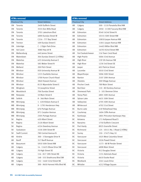| <b>ATMs removed</b> |                      |                                  |  |  |
|---------------------|----------------------|----------------------------------|--|--|
|                     | Province/City        | <b>Street Address</b>            |  |  |
| ΟN                  | Toronto              | 2409 Dufferin Street             |  |  |
| ΟN                  | Toronto              | 3555 Don Mills Road              |  |  |
| ΟN                  | Toronto              | 3701 Lakeshore Blvd              |  |  |
| ON                  | Toronto              | 4890 Dundas Street W             |  |  |
| ΟN                  | Toronto              | C216 - 777 Bay Street            |  |  |
| ΟN                  | Trenton              | 109 Dundas Street E              |  |  |
| ΟN                  | Uxbridge             | C - 2 Elgin Park Drive           |  |  |
| ΟN                  | Val Caron            | 3080 Hwy 69 N                    |  |  |
| ΟN                  | Wallaceburg          | 440 James Street                 |  |  |
| ΟN                  | Waterdown            | 304 Dundas Street E (2 ATMs)     |  |  |
| ΟN                  | Waterloo             | 425 University Avenue E          |  |  |
| ΟN                  | Waterloo             | 585 Weber Street N               |  |  |
| ON                  | Welland              | 200 Fitch Street                 |  |  |
| ΟN                  | Windsor              | 920 University Avenue W          |  |  |
| ON                  | Windsor              | 1215 Ouellette Avenue            |  |  |
| ΟN                  | Windsor              | 1700 Huron Church Road           |  |  |
| ON                  | Windsor              | 3840 Howard Avenue               |  |  |
| ON                  | Windsor              | 8135 Wyandotte Street E          |  |  |
| ON                  | Wingham              | 55 Josephine Street              |  |  |
| ΟN                  | Woodstock            | 706 Dundas Street                |  |  |
| MВ                  | Neepawa              | 10 Main Street E                 |  |  |
| ΜB                  | Selkirk              | A - 366 Main Street              |  |  |
| MB                  | Winnipeg             | 1 - 630 Kildare Avenue E         |  |  |
| ΜB                  | Winnipeg             | 9 - 1795 Henderson Hwy           |  |  |
| MB                  | Winnipeg             | 676 Portage Avenue               |  |  |
| ΜB                  | Winnipeg             | 971 Corydon Avenue               |  |  |
| MB                  | Winnipeg             | 2305 Portage Avenue              |  |  |
| SK                  | Regina               | 420 Albert Street                |  |  |
| SK                  | Regina               | 2120 Albert Street               |  |  |
| SK                  | Regina               | 4324 Dewdney Avenue              |  |  |
| SK                  | Saskatoon            | 1530 20th Street W               |  |  |
| SK                  | <b>Swift Current</b> | 780 Central Avenue N             |  |  |
| AB                  | Airdrie              | 300 - 3 Stonegate Drive N        |  |  |
| ΑB                  | <b>Banff</b>         | 317 Banff Avenue                 |  |  |
| AВ                  | Beaumont             | 5910 50th Street NW              |  |  |
| AB                  | Calgary              | 14 - 11625 Elbow Drive SW        |  |  |
| AΒ                  | Calgary              | 70 High Street SE                |  |  |
| AB                  | Calgary              | 116 - 817 19th Street NE         |  |  |
| AΒ                  | Calgary              | 148 - 555 Strathcona Blvd SW     |  |  |
| AB                  | Calgary              | 152 - 1440 52nd Street NE        |  |  |
| AB                  | Calgary              | 300 - 9650 Harvest Hills Blvd NE |  |  |

| <b>ATMs removed</b> |                      |                                 |  |  |  |
|---------------------|----------------------|---------------------------------|--|--|--|
| Province/City       |                      | <b>Street Address</b>           |  |  |  |
| AB                  | Calgary              | 500 - 1110 Panatella Blvd NW    |  |  |  |
| AB                  | Calgary              | 2050 - 11300 Tuscany Blvd NW    |  |  |  |
| AB                  | Edmonton             | 9540 163rd Street N             |  |  |  |
| AB                  | Edmonton             | 10155 50th Street NW            |  |  |  |
| AB                  | Edmonton             | 10818 Jasper Avenue NW          |  |  |  |
| AB                  | Edmonton             | 11811 Jasper Avenue NW          |  |  |  |
| AB                  | Edmonton             | 14403 Miller Blvd NW            |  |  |  |
| AB                  | Edmonton             | 16703 82nd Street NW            |  |  |  |
| AB                  | Fort Saskatchewan    | 116 Town Crest Road             |  |  |  |
| AB                  | <b>High Prairie</b>  | 5004 53rd Avenue                |  |  |  |
| AВ                  | High River           | 139 5th Avenue SW               |  |  |  |
| AB                  | High River           | 1230 3rd Street SE              |  |  |  |
| AB                  | Jasper               | 602 Patricia Street             |  |  |  |
| AB                  | Lacombe              | 5010 53rd Street                |  |  |  |
| AB                  | Mayerthorpe          | 5006 50th Street                |  |  |  |
| AB                  | Nanton               | 2107 20th Avenue                |  |  |  |
| AB                  | Okotoks              | 300 Village Avenue              |  |  |  |
| AB                  | <b>Pincher Creek</b> | 789 Main Street                 |  |  |  |
| AB                  | Red Deer             | 110 - 80 Donlevy Avenue         |  |  |  |
| AB                  | Sherwood Park        | 5 - 101 Bremner Drive           |  |  |  |
| AB                  | <b>Stony Plain</b>   | 4801 50th Avenue                |  |  |  |
| AB                  | Sylvan Lake          | 4631 50th Street                |  |  |  |
| AВ                  | Valleyview           | 4705 50th Avenue                |  |  |  |
| AВ                  | Whitecourt           | 4702 51st Street                |  |  |  |
| BC                  | <b>Burns Lake</b>    | 418 Yellowhead Hwy              |  |  |  |
| BC                  | Courtenay            | 1604 Cliffe Avenue              |  |  |  |
| ВC                  | Kamloops             | 1801 Princeton Kamloops Hwy     |  |  |  |
| ВC                  | Kelowna              | 171 Hollywood Road S            |  |  |  |
| BС                  | Nanaimo              | 1750 Dufferin Crescent          |  |  |  |
| BС                  | Port Hardy           | 8925 Granville Street           |  |  |  |
| ВC                  | Richmond             | 125 - 10111 No. 3 Road (2 ATMs) |  |  |  |
| BС                  | Surrey               | 150 - 17475 Hwy 10              |  |  |  |
| ВC                  | Vancouver            | 1025 West Columbia Street       |  |  |  |
| BС                  | Vancouver            | 1026 Powell Street              |  |  |  |
| ВC                  | Vancouver            | 1173 - 88 W Pender Street       |  |  |  |
| BС                  | Vancouver            | 4898 Main Street                |  |  |  |
| BС                  | Victoria             | 912 Douglas Street              |  |  |  |
| BС                  | Victoria             | 1151 Admirals Road              |  |  |  |
| ВC                  | Victoria             | 6610 Sooke Road                 |  |  |  |
| BС                  | Westbank             | 2241 Louie Drive                |  |  |  |
| ВC                  | Whistler             | 4212 Village Square             |  |  |  |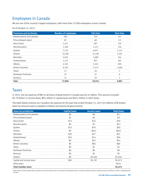# Employees in Canada

We are one of the country's largest employers, with more than 57,000 employees across Canada.

As at October 31, 2013

| <b>Provinces and territories</b> | <b>Number of employees</b> | <b>Full-time</b> | <b>Part-time</b> |
|----------------------------------|----------------------------|------------------|------------------|
| Newfoundland and Labrador        | 296                        | 233              | 63               |
| Prince Edward Island             | 87                         | 68               | 1 Q              |
| Nova Scotia                      | 1,141                      | 907              | 234              |
| New Brunswick                    | 1,369                      | 1,213            | 156              |
| Quebec                           | 7,179                      | 6,057            | 1.122            |
| Ontario                          | 33,590                     | 31,199           | 2,391            |
| Manitoba                         | 2,034                      | 1,690            | 344              |
| Saskatchewan                     | 1,122                      | 857              | 265              |
| Alberta                          | 4,165                      | 3.345            | 820              |
| <b>British Columbia</b>          | 6.740                      | 5,272            | 1.468            |
| Yukon                            | 27                         | 26               |                  |
| <b>Northwest Territories</b>     | 35                         | 27               |                  |
| Nunavut                          | 21                         | 20               |                  |
| Tota                             | 57,806                     | 50,914           | 6,892            |

# **Taxes**

In 2013, the tax expense of RBC to all levels of government in Canada was \$2.41 billion. This amount included \$1.79 billion in income taxes, \$85 million in capital taxes and \$541 million in other taxes.

The table below outlines our Canadian tax expense for the year that ended October 31, 2013 (in millions of \$) broken down by amounts paid or payable to federal and provincial governments.

| <b>Taxes by jurisdiction</b> | <b>Capital taxes</b> | <b>Income taxes</b> | <b>Total taxes</b> |
|------------------------------|----------------------|---------------------|--------------------|
| Newfoundland and Labrador    | \$6                  | \$6                 | \$12               |
| Prince Edward Island         | \$1                  | \$2                 | \$3                |
| Nova Scotia                  | \$13                 | \$16                | \$29               |
| New Brunswick                | \$6                  | \$7                 | \$13               |
| Quebec                       | \$13                 | \$79                | \$92               |
| Ontario                      | \$0                  | \$463               | \$463              |
| Manitoba                     | \$30                 | \$17                | \$47               |
| Saskatchewan                 | \$16                 | \$14                | \$30               |
| Alberta                      | \$0                  | \$55                | \$55               |
| <b>British Columbia</b>      | \$0                  | \$86                | \$86               |
| Yukon                        | \$0                  | \$1                 | \$1                |
| <b>Northwest Territories</b> | \$0                  | \$0                 | \$0                |
| Nunavut                      | \$0                  | \$1                 | \$1                |
| Federal                      | \$0                  | \$1,040             | \$1,040            |
| Capital and income taxes     | \$85                 | \$1,787             | \$1,872            |
| Other taxes $1$              |                      |                     | \$541              |
| <b>Total Canadian taxes</b>  |                      |                     | \$2,413            |

<sup>1</sup> Other taxes include payroll taxes, goods and services sales taxes, municipal and property taxes, insurance premium taxes, business taxes and taxes on other comprehensive income.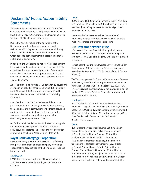# Declarants' Public Accountability **Statements**

Separate Public Accountability Statements for the fiscal year that ended October 31, 2013 are provided below for Royal Bank Mortgage Corporation, RBC Investor Services Trust and RBC Life Insurance Company.

Due to the specific nature of the operations of the Declarants, they do not operate branches or other facilities at which deposit accounts are opened through natural persons and with customers in person, or at which deposits from customers are accepted or cash is distributed to customers.

In addition, the Declarants do not provide debt financing to firms in Canada, and are not involved in investments or partnerships in micro-credit programs. They are also not involved in initiatives to improve access to financial services for low-income individuals, senior citizens and disabled persons.

All of the foregoing activities are undertaken by Royal Bank of Canada on behalf of other members of RBC, including the Affiliates and the Declarants, and are outlined in the respective sections of this Public Accountability Statement.

As of October 31, 2013, the Declarants did not have prescribed affiliates. As integrated subsidiaries of RBC, the Declarants share community development goals and participate in community-based activities, including volunteer, charitable and philanthropic activities, collectively with Royal Bank of Canada.

For further details and examples of the Declarants' goals for community development, donations and related activities, please refer to the corresponding information contained in this Public Accountability Statement.

## **Royal Bank Mortgage Corporation**

Royal Bank Mortgage Corporation (RBMC) is a federally incorporated mortgage and loan company providing a deposit-taking service through the Royal Bank of Canada branch network.

#### Employees

RBMC does not have employees of its own. All of its activities are conducted by employees of Royal Bank of Canada.

## Taxes

RBMC incurred \$3.3 million in income taxes (\$1.9 million in Federal and \$1.4 million in Ontario taxes) and incurred less than \$100 of capital taxes for the fiscal year that ended October 31, 2013.

Income and other taxes as well as the number of employees are also included in Royal Bank of Canada's Public Accountability Statement disclosure.

# **RBC Investor Services Trust**

RBC Investor Services Trust is indirectly wholly owned by Royal Bank of Canada. The Trust's immediate parent company is Royal Bank Holding Inc., which is incorporated in Canada.

Letters patent creating RBC Investor Services Trust, under its prior name RBC Dexia Investor Services Trust, were issued on September 26, 2005 by the Minister of Finance (Canada).

The Trust was granted its Order to Commence and Carry on Business by the Office of the Superintendent of Financial Institutions Canada ("OSFI") on October 26, 2005. RBC Investor Services Trust's shares are not quoted on a public market. RBC Investor Services Trust is incorporated and headquartered in Canada.

#### Employees

As at October 31, 2013, RBC Investor Services Trust employed 1,789 full-time employees in Canada (8 in Nova Scotia, 95 in Quebec, 1,628 in Ontario, 23 in Alberta and 35 in British Columbia) and 23 part-time employees (1 in Nova Scotia, 10 in Quebec and 12 in Ontario).<sup>1</sup>

1 Excludes on-leave employees.

## Taxes

RBC Investor Services Trust incurred \$10.6 million in income taxes (\$5.2 million in Federal, \$0.7 million in Ontario, \$0.1 million in Quebec, \$0.1 million in Alberta, \$0.1 million in British Columbia and \$4.4 million in international taxes), \$2.6 million in taxes on other comprehensive income (\$1.8 million in Federal, \$0.5 million in Ontario, \$0.1 million in Quebec, \$0.1 million in Alberta and \$0.1 million in British Columbia taxes) and \$0.8 million in capital taxes (\$0.5 million in Nova Scotia and \$0.3 million in Quebec taxes) for the fiscal year that ended October 31, 2013.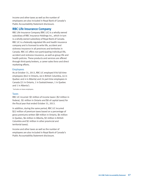Income and other taxes as well as the number of employees are also included in Royal Bank of Canada's Public Accountability Statement disclosure.

## **RBC Life Insurance Company**

RBC Life Insurance Company (RBC LIC) is a wholly owned subsidiary of RBC Insurance Holdings Inc., which in turn is a wholly owned subsidiary of Royal Bank of Canada. RBC LIC is a federally regulated life and health insurance company and is licensed to write life, accident and sickness insurance in all provinces and territories in Canada. RBC LIC offers non-participating individual life, accident and sickness insurance, as well as group life and health policies. These products and services are offered through third-party brokers, a career sales force and direct marketing efforts.

#### Employees

As at October 31, 2013, RBC LIC employed 936 full-time employees (842 in Ontario, 46 in British Columbia, 44 in Quebec and 4 in Alberta) and 24 part-time employees in Canada (21 in Ontario, 1 in Saskatchewan, 1 in Quebec and 1 in Alberta<sup>1</sup>).

1 Excludes on-leave employees.

#### Taxes

RBC LIC incurred -\$3 million of income taxes (-\$2 million in Federal, -\$1 million in Ontario and \$0 of capital taxes) for the fiscal year that ended October 31, 2013.

In addition, during the same period, RBC LIC incurred \$22 million of premium taxes based on a percentage of gross premiums written (\$9 million in Ontario, \$4 million in Quebec, \$4 million in Alberta, \$3 million in British Columbia and \$2 million in other provincial and territorial taxes).

Income and other taxes as well as the number of employees are also included in Royal Bank of Canada's Public Accountability Statement disclosure.